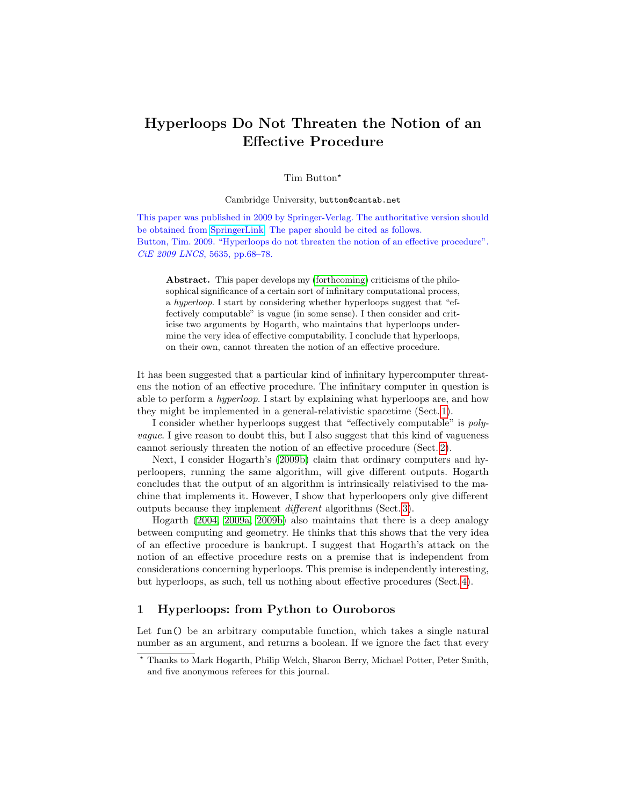# Hyperloops Do Not Threaten the Notion of an Effective Procedure

### Tim Button?

#### Cambridge University, button@cantab.net

This paper was published in 2009 by Springer-Verlag. The authoritative version should be obtained from [SpringerLink.](http://www.springerlink.com/content/t1143n71qu736174/?p=a4c764d8b3e5477da6e9d511ae0434f8&pi=0) The paper should be cited as follows. Button, Tim. 2009. "Hyperloops do not threaten the notion of an effective procedure". CiE 2009 LNCS, 5635, pp.68–78.

Abstract. This paper develops my [\(forthcoming\)](#page-9-0) criticisms of the philosophical significance of a certain sort of infinitary computational process, a hyperloop. I start by considering whether hyperloops suggest that "effectively computable" is vague (in some sense). I then consider and criticise two arguments by Hogarth, who maintains that hyperloops undermine the very idea of effective computability. I conclude that hyperloops, on their own, cannot threaten the notion of an effective procedure.

It has been suggested that a particular kind of infinitary hypercomputer threatens the notion of an effective procedure. The infinitary computer in question is able to perform a hyperloop. I start by explaining what hyperloops are, and how they might be implemented in a general-relativistic spacetime (Sect. [1\)](#page-0-0).

I consider whether hyperloops suggest that "effectively computable" is polyvague. I give reason to doubt this, but I also suggest that this kind of vagueness cannot seriously threaten the notion of an effective procedure (Sect. [2\)](#page-2-0).

Next, I consider Hogarth's [\(2009b\)](#page-10-0) claim that ordinary computers and hyperloopers, running the same algorithm, will give different outputs. Hogarth concludes that the output of an algorithm is intrinsically relativised to the machine that implements it. However, I show that hyperloopers only give different outputs because they implement different algorithms (Sect. [3\)](#page-4-0).

Hogarth [\(2004,](#page-9-1) [2009a,](#page-10-1) [2009b\)](#page-10-0) also maintains that there is a deep analogy between computing and geometry. He thinks that this shows that the very idea of an effective procedure is bankrupt. I suggest that Hogarth's attack on the notion of an effective procedure rests on a premise that is independent from considerations concerning hyperloops. This premise is independently interesting, but hyperloops, as such, tell us nothing about effective procedures (Sect. [4\)](#page-6-0).

### <span id="page-0-0"></span>1 Hyperloops: from Python to Ouroboros

Let fun() be an arbitrary computable function, which takes a single natural number as an argument, and returns a boolean. If we ignore the fact that every

<sup>?</sup> Thanks to Mark Hogarth, Philip Welch, Sharon Berry, Michael Potter, Peter Smith, and five anonymous referees for this journal.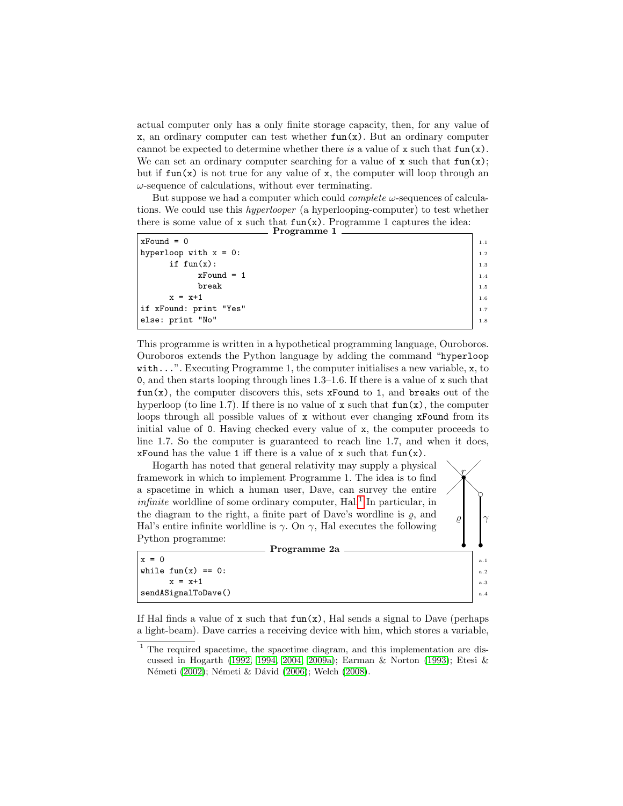actual computer only has a only finite storage capacity, then, for any value of  $x$ , an ordinary computer can test whether  $fun(x)$ . But an ordinary computer cannot be expected to determine whether there is a value of  $x$  such that  $fun(x)$ . We can set an ordinary computer searching for a value of  $x$  such that  $fun(x)$ ; but if  $fun(x)$  is not true for any value of x, the computer will loop through an  $\omega$ -sequence of calculations, without ever terminating.

But suppose we had a computer which could *complete*  $\omega$ -sequences of calculations. We could use this *hyperlooper* (a hyperlooping-computer) to test whether there is some value of  $x$  such that  $fun(x)$ . Programme 1 captures the idea:

|                          | Programme 1 |     |
|--------------------------|-------------|-----|
| $xFound = 0$             |             | 1.1 |
| hyperloop with $x = 0$ : |             | 1.2 |
| if $fun(x)$ :            |             | 1.3 |
| $xFound = 1$             |             | 1.4 |
| break                    |             | 1.5 |
| $x = x+1$                |             | 1.6 |
| if xFound: print "Yes"   |             | 1.7 |
| else: print "No"         |             | 1.8 |
|                          |             |     |

This programme is written in a hypothetical programming language, Ouroboros. Ouroboros extends the Python language by adding the command "hyperloop with...". Executing Programme 1, the computer initialises a new variable,  $x$ , to 0, and then starts looping through lines 1.3–1.6. If there is a value of x such that  $fun(x)$ , the computer discovers this, sets xFound to 1, and breaks out of the hyperloop (to line 1.7). If there is no value of x such that  $fun(x)$ , the computer loops through all possible values of x without ever changing xFound from its initial value of 0. Having checked every value of x, the computer proceeds to line 1.7. So the computer is guaranteed to reach line 1.7, and when it does,  $x$ Found has the value 1 iff there is a value of  $x$  such that  $fun(x)$ .

r

 $\varrho$  |  $\gamma$ 

Hogarth has noted that general relativity may supply a physical framework in which to implement Programme 1. The idea is to find a spacetime in which a human user, Dave, can survey the entire *infinite* worldline of some ordinary computer, Hal.<sup>[1](#page-1-0)</sup> In particular, in the diagram to the right, a finite part of Dave's wordline is  $\rho$ , and Hal's entire infinite worldline is  $\gamma$ . On  $\gamma$ , Hal executes the following Python programme:

|                       | Programme 2a |     |
|-----------------------|--------------|-----|
| $x = 0$               |              | a.1 |
| while $fun(x) == 0$ : |              | a.2 |
| $x = x + 1$           |              | a.3 |
| sendASignalToDave()   |              | a.4 |
|                       |              |     |

If Hal finds a value of  $x$  such that  $fun(x)$ , Hal sends a signal to Dave (perhaps a light-beam). Dave carries a receiving device with him, which stores a variable,

<span id="page-1-0"></span><sup>&</sup>lt;sup>1</sup> The required spacetime, the spacetime diagram, and this implementation are discussed in Hogarth [\(1992,](#page-9-2) [1994,](#page-9-3) [2004,](#page-9-1) [2009a\)](#page-10-1); Earman & Norton [\(1993\)](#page-9-4); Etesi & Németi [\(2002\)](#page-9-5); Németi & Dávid [\(2006\)](#page-10-2); Welch [\(2008\)](#page-10-3).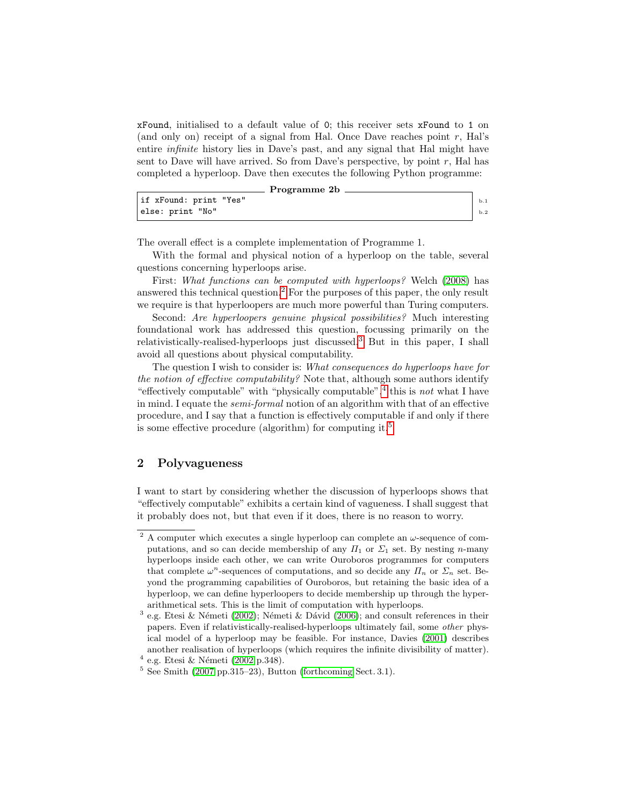xFound, initialised to a default value of 0; this receiver sets xFound to 1 on (and only on) receipt of a signal from Hal. Once Dave reaches point  $r$ , Hal's entire infinite history lies in Dave's past, and any signal that Hal might have sent to Dave will have arrived. So from Dave's perspective, by point  $r$ , Hal has completed a hyperloop. Dave then executes the following Python programme:

| Programme 2b           |     |
|------------------------|-----|
| if xFound: print "Yes" | b.1 |
| else: print "No"       | h.2 |

The overall effect is a complete implementation of Programme 1.

With the formal and physical notion of a hyperloop on the table, several questions concerning hyperloops arise.

First: What functions can be computed with hyperloops? Welch [\(2008\)](#page-10-3) has answered this technical question.[2](#page-2-1) For the purposes of this paper, the only result we require is that hyperloopers are much more powerful than Turing computers.

Second: Are hyperloopers genuine physical possibilities? Much interesting foundational work has addressed this question, focussing primarily on the relativistically-realised-hyperloops just discussed.[3](#page-2-2) But in this paper, I shall avoid all questions about physical computability.

The question I wish to consider is: What consequences do hyperloops have for the notion of effective computability? Note that, although some authors identify "effectively computable" with "physically computable",  $4$  this is not what I have in mind. I equate the semi-formal notion of an algorithm with that of an effective procedure, and I say that a function is effectively computable if and only if there is some effective procedure (algorithm) for computing it.<sup>[5](#page-2-4)</sup>

### <span id="page-2-0"></span>2 Polyvagueness

I want to start by considering whether the discussion of hyperloops shows that "effectively computable" exhibits a certain kind of vagueness. I shall suggest that it probably does not, but that even if it does, there is no reason to worry.

<span id="page-2-1"></span><sup>&</sup>lt;sup>2</sup> A computer which executes a single hyperloop can complete an  $\omega$ -sequence of computations, and so can decide membership of any  $\Pi_1$  or  $\Sigma_1$  set. By nesting *n*-many hyperloops inside each other, we can write Ouroboros programmes for computers that complete  $\omega^n$ -sequences of computations, and so decide any  $\Pi_n$  or  $\Sigma_n$  set. Beyond the programming capabilities of Ouroboros, but retaining the basic idea of a hyperloop, we can define hyperloopers to decide membership up through the hyperarithmetical sets. This is the limit of computation with hyperloops.

<span id="page-2-2"></span><sup>&</sup>lt;sup>3</sup> e.g. Etesi & Németi [\(2002\)](#page-9-5); Németi & Dávid [\(2006\)](#page-10-2); and consult references in their papers. Even if relativistically-realised-hyperloops ultimately fail, some other physical model of a hyperloop may be feasible. For instance, Davies [\(2001\)](#page-9-6) describes another realisation of hyperloops (which requires the infinite divisibility of matter).  $4$  e.g. Etesi & Németi [\(2002](#page-9-5) p.348).

<span id="page-2-4"></span><span id="page-2-3"></span> $5$  See Smith [\(2007](#page-10-4) pp.315–23), Button [\(forthcoming](#page-9-0) Sect. 3.1).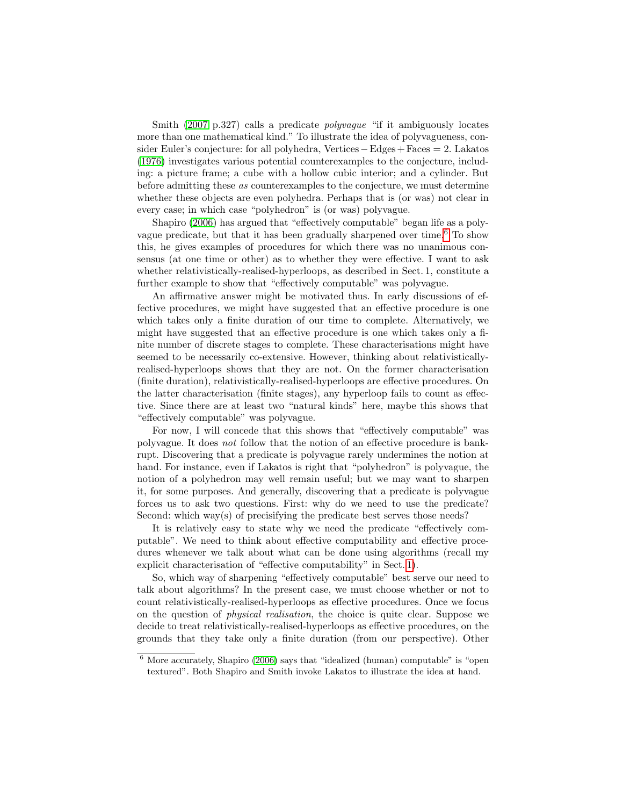Smith [\(2007](#page-10-4) p.327) calls a predicate polyvague "if it ambiguously locates more than one mathematical kind." To illustrate the idea of polyvagueness, consider Euler's conjecture: for all polyhedra, Vertices  $-$  Edges  $+$  Faces  $= 2$ . Lakatos [\(1976\)](#page-10-5) investigates various potential counterexamples to the conjecture, including: a picture frame; a cube with a hollow cubic interior; and a cylinder. But before admitting these as counterexamples to the conjecture, we must determine whether these objects are even polyhedra. Perhaps that is (or was) not clear in every case; in which case "polyhedron" is (or was) polyvague.

Shapiro [\(2006\)](#page-10-6) has argued that "effectively computable" began life as a polyvague predicate, but that it has been gradually sharpened over time.[6](#page-3-0) To show this, he gives examples of procedures for which there was no unanimous consensus (at one time or other) as to whether they were effective. I want to ask whether relativistically-realised-hyperloops, as described in Sect. 1, constitute a further example to show that "effectively computable" was polyvague.

An affirmative answer might be motivated thus. In early discussions of effective procedures, we might have suggested that an effective procedure is one which takes only a finite duration of our time to complete. Alternatively, we might have suggested that an effective procedure is one which takes only a finite number of discrete stages to complete. These characterisations might have seemed to be necessarily co-extensive. However, thinking about relativisticallyrealised-hyperloops shows that they are not. On the former characterisation (finite duration), relativistically-realised-hyperloops are effective procedures. On the latter characterisation (finite stages), any hyperloop fails to count as effective. Since there are at least two "natural kinds" here, maybe this shows that "effectively computable" was polyvague.

For now, I will concede that this shows that "effectively computable" was polyvague. It does not follow that the notion of an effective procedure is bankrupt. Discovering that a predicate is polyvague rarely undermines the notion at hand. For instance, even if Lakatos is right that "polyhedron" is polyvague, the notion of a polyhedron may well remain useful; but we may want to sharpen it, for some purposes. And generally, discovering that a predicate is polyvague forces us to ask two questions. First: why do we need to use the predicate? Second: which way(s) of precisifying the predicate best serves those needs?

It is relatively easy to state why we need the predicate "effectively computable". We need to think about effective computability and effective procedures whenever we talk about what can be done using algorithms (recall my explicit characterisation of "effective computability" in Sect. [1\)](#page-0-0).

So, which way of sharpening "effectively computable" best serve our need to talk about algorithms? In the present case, we must choose whether or not to count relativistically-realised-hyperloops as effective procedures. Once we focus on the question of physical realisation, the choice is quite clear. Suppose we decide to treat relativistically-realised-hyperloops as effective procedures, on the grounds that they take only a finite duration (from our perspective). Other

<span id="page-3-0"></span> $6$  More accurately, Shapiro [\(2006\)](#page-10-6) says that "idealized (human) computable" is "open textured". Both Shapiro and Smith invoke Lakatos to illustrate the idea at hand.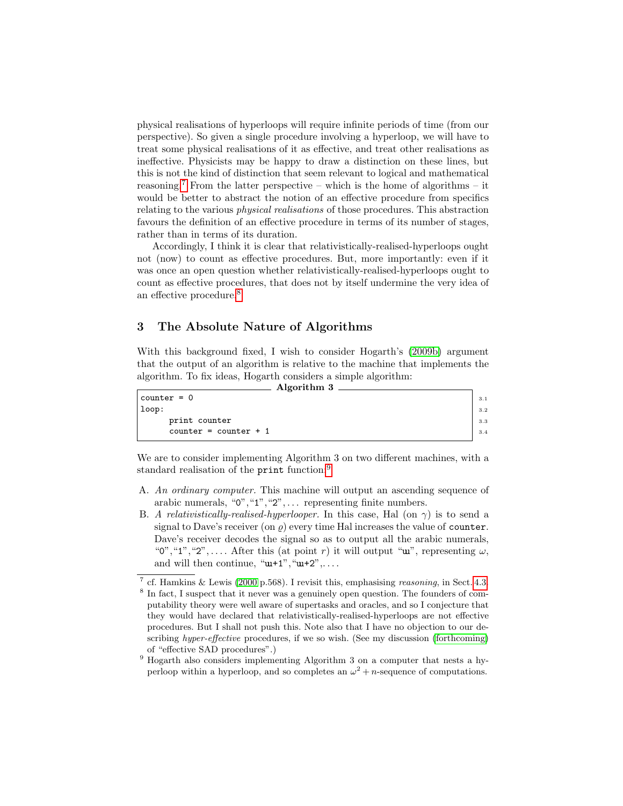physical realisations of hyperloops will require infinite periods of time (from our perspective). So given a single procedure involving a hyperloop, we will have to treat some physical realisations of it as effective, and treat other realisations as ineffective. Physicists may be happy to draw a distinction on these lines, but this is not the kind of distinction that seem relevant to logical and mathematical reasoning.<sup>[7](#page-4-1)</sup> From the latter perspective – which is the home of algorithms – it would be better to abstract the notion of an effective procedure from specifics relating to the various physical realisations of those procedures. This abstraction favours the definition of an effective procedure in terms of its number of stages, rather than in terms of its duration.

Accordingly, I think it is clear that relativistically-realised-hyperloops ought not (now) to count as effective procedures. But, more importantly: even if it was once an open question whether relativistically-realised-hyperloops ought to count as effective procedures, that does not by itself undermine the very idea of an effective procedure.[8](#page-4-2)

### <span id="page-4-0"></span>3 The Absolute Nature of Algorithms

With this background fixed, I wish to consider Hogarth's [\(2009b\)](#page-10-0) argument that the output of an algorithm is relative to the machine that implements the algorithm. To fix ideas, Hogarth considers a simple algorithm:

 $\overline{\phantom{a}}$  Algorithm 3  $\overline{\phantom{a}}$ 

| counter = 0             | 3.1 |
|-------------------------|-----|
| loop:                   | 3.2 |
| print counter           | 3.3 |
| $counter = counter + 1$ | 3.4 |
|                         |     |

We are to consider implementing Algorithm 3 on two different machines, with a standard realisation of the print function:<sup>[9](#page-4-3)</sup>

- A. An ordinary computer. This machine will output an ascending sequence of arabic numerals, " $0$ ", " $1$ ", " $2$ ", ... representing finite numbers.
- B. A relativistically-realised-hyperlooper. In this case, Hal (on  $\gamma$ ) is to send a signal to Dave's receiver (on  $\rho$ ) every time Hal increases the value of counter. Dave's receiver decodes the signal so as to output all the arabic numerals, "0", "1", "2",.... After this (at point r) it will output " $\mathfrak{u}$ ", representing  $\omega$ . and will then continue,  $"u+1"$ ,  $"u+2"$ ,...

<span id="page-4-1"></span> $^7$  cf. Hamkins & Lewis [\(2000](#page-9-7) p.568). I revisit this, emphasising *reasoning*, in Sect. [4.3.](#page-9-8)

<span id="page-4-2"></span><sup>&</sup>lt;sup>8</sup> In fact, I suspect that it never was a genuinely open question. The founders of computability theory were well aware of supertasks and oracles, and so I conjecture that they would have declared that relativistically-realised-hyperloops are not effective procedures. But I shall not push this. Note also that I have no objection to our describing hyper-effective procedures, if we so wish. (See my discussion [\(forthcoming\)](#page-9-0) of "effective SAD procedures".)

<span id="page-4-3"></span> $9$  Hogarth also considers implementing Algorithm 3 on a computer that nests a hyperloop within a hyperloop, and so completes an  $\omega^2 + n$ -sequence of computations.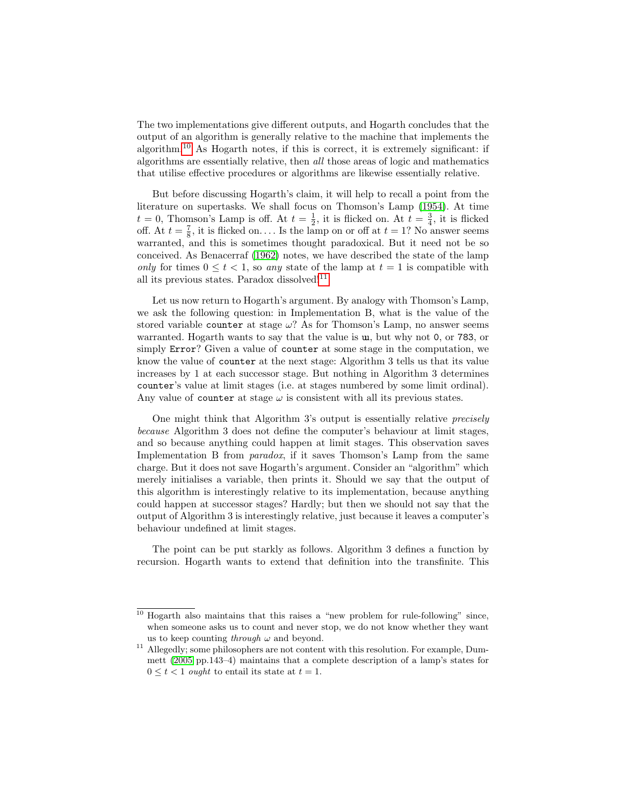The two implementations give different outputs, and Hogarth concludes that the output of an algorithm is generally relative to the machine that implements the algorithm.[10](#page-5-0) As Hogarth notes, if this is correct, it is extremely significant: if algorithms are essentially relative, then all those areas of logic and mathematics that utilise effective procedures or algorithms are likewise essentially relative.

But before discussing Hogarth's claim, it will help to recall a point from the literature on supertasks. We shall focus on Thomson's Lamp [\(1954\)](#page-10-7). At time  $t = 0$ , Thomson's Lamp is off. At  $t = \frac{1}{2}$ , it is flicked on. At  $t = \frac{3}{4}$ , it is flicked off. At  $t = \frac{7}{8}$ , it is flicked on.... Is the lamp on or off at  $t = 1$ ? No answer seems warranted, and this is sometimes thought paradoxical. But it need not be so conceived. As Benacerraf [\(1962\)](#page-9-9) notes, we have described the state of the lamp only for times  $0 \le t < 1$ , so any state of the lamp at  $t = 1$  is compatible with all its previous states. Paradox dissolved!<sup>[11](#page-5-1)</sup>

Let us now return to Hogarth's argument. By analogy with Thomson's Lamp, we ask the following question: in Implementation B, what is the value of the stored variable counter at stage  $\omega$ ? As for Thomson's Lamp, no answer seems warranted. Hogarth wants to say that the value is  $\mathbf{u}$ , but why not 0, or 783, or simply Error? Given a value of counter at some stage in the computation, we know the value of counter at the next stage: Algorithm 3 tells us that its value increases by 1 at each successor stage. But nothing in Algorithm 3 determines counter's value at limit stages (i.e. at stages numbered by some limit ordinal). Any value of counter at stage  $\omega$  is consistent with all its previous states.

One might think that Algorithm 3's output is essentially relative precisely because Algorithm 3 does not define the computer's behaviour at limit stages, and so because anything could happen at limit stages. This observation saves Implementation B from paradox, if it saves Thomson's Lamp from the same charge. But it does not save Hogarth's argument. Consider an "algorithm" which merely initialises a variable, then prints it. Should we say that the output of this algorithm is interestingly relative to its implementation, because anything could happen at successor stages? Hardly; but then we should not say that the output of Algorithm 3 is interestingly relative, just because it leaves a computer's behaviour undefined at limit stages.

The point can be put starkly as follows. Algorithm 3 defines a function by recursion. Hogarth wants to extend that definition into the transfinite. This

<span id="page-5-0"></span><sup>&</sup>lt;sup>10</sup> Hogarth also maintains that this raises a "new problem for rule-following" since, when someone asks us to count and never stop, we do not know whether they want us to keep counting through  $\omega$  and beyond.

<span id="page-5-1"></span><sup>&</sup>lt;sup>11</sup> Allegedly; some philosophers are not content with this resolution. For example, Dummett [\(2005](#page-9-10) pp.143–4) maintains that a complete description of a lamp's states for  $0 \leq t \leq 1$  ought to entail its state at  $t = 1$ .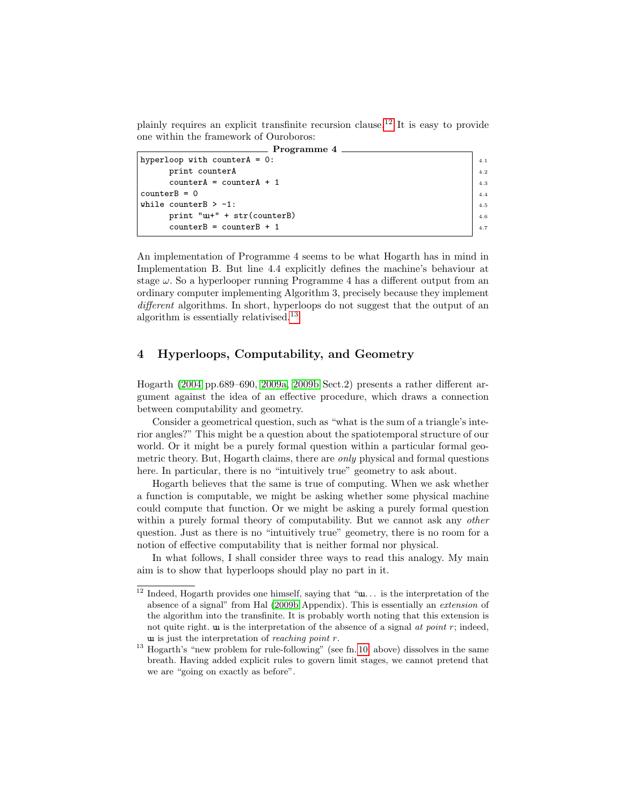plainly requires an explicit transfinite recursion clause.[12](#page-6-1) It is easy to provide one within the framework of Ouroboros:

```
Programme 4
hyperloop with counterA = 0: 4.1print counterA 4.2
  counterA = counterA + 1 4.3
counterB = 0 4.4while counterB > -1: 4.5
  print "u+" + str(counterB) 4.6counterB = counterB + 1 | 4.7
```
An implementation of Programme 4 seems to be what Hogarth has in mind in Implementation B. But line 4.4 explicitly defines the machine's behaviour at stage  $\omega$ . So a hyperlooper running Programme 4 has a different output from an ordinary computer implementing Algorithm 3, precisely because they implement different algorithms. In short, hyperloops do not suggest that the output of an algorithm is essentially relativised.[13](#page-6-2)

### <span id="page-6-0"></span>4 Hyperloops, Computability, and Geometry

Hogarth [\(2004](#page-9-1) pp.689–690, [2009a,](#page-10-1) [2009b](#page-10-0) Sect.2) presents a rather different argument against the idea of an effective procedure, which draws a connection between computability and geometry.

Consider a geometrical question, such as "what is the sum of a triangle's interior angles?" This might be a question about the spatiotemporal structure of our world. Or it might be a purely formal question within a particular formal geometric theory. But, Hogarth claims, there are *only* physical and formal questions here. In particular, there is no "intuitively true" geometry to ask about.

Hogarth believes that the same is true of computing. When we ask whether a function is computable, we might be asking whether some physical machine could compute that function. Or we might be asking a purely formal question within a purely formal theory of computability. But we cannot ask any *other* question. Just as there is no "intuitively true" geometry, there is no room for a notion of effective computability that is neither formal nor physical.

In what follows, I shall consider three ways to read this analogy. My main aim is to show that hyperloops should play no part in it.

<span id="page-6-1"></span> $12$  Indeed, Hogarth provides one himself, saying that " $\mathbf{u}$ ... is the interpretation of the absence of a signal" from Hal [\(2009b](#page-10-0) Appendix). This is essentially an extension of the algorithm into the transfinite. It is probably worth noting that this extension is not quite right.  $\mathbf{u}$  is the interpretation of the absence of a signal at point r; indeed,  $\mathbf u$  is just the interpretation of *reaching point r*.

<span id="page-6-2"></span><sup>&</sup>lt;sup>13</sup> Hogarth's "new problem for rule-following" (see fn. [10,](#page-5-0) above) dissolves in the same breath. Having added explicit rules to govern limit stages, we cannot pretend that we are "going on exactly as before".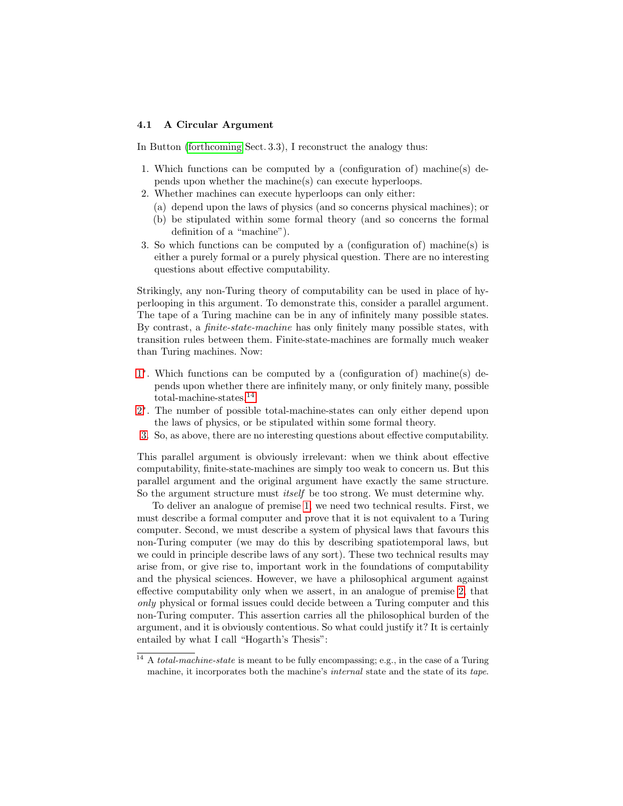#### 4.1 A Circular Argument

In Button [\(forthcoming](#page-9-0) Sect. 3.3), I reconstruct the analogy thus:

- <span id="page-7-0"></span>1. Which functions can be computed by a (configuration of) machine(s) depends upon whether the machine(s) can execute hyperloops.
- <span id="page-7-2"></span>2. Whether machines can execute hyperloops can only either:
	- (a) depend upon the laws of physics (and so concerns physical machines); or
	- (b) be stipulated within some formal theory (and so concerns the formal definition of a "machine").
- <span id="page-7-3"></span>3. So which functions can be computed by a (configuration of) machine(s) is either a purely formal or a purely physical question. There are no interesting questions about effective computability.

Strikingly, any non-Turing theory of computability can be used in place of hyperlooping in this argument. To demonstrate this, consider a parallel argument. The tape of a Turing machine can be in any of infinitely many possible states. By contrast, a finite-state-machine has only finitely many possible states, with transition rules between them. Finite-state-machines are formally much weaker than Turing machines. Now:

- [1](#page-7-0) ∗ . Which functions can be computed by a (configuration of) machine(s) depends upon whether there are infinitely many, or only finitely many, possible total-machine-states.[14](#page-7-1)
- [2](#page-7-2) ∗ . The number of possible total-machine-states can only either depend upon the laws of physics, or be stipulated within some formal theory.
- [3.](#page-7-3) So, as above, there are no interesting questions about effective computability.

This parallel argument is obviously irrelevant: when we think about effective computability, finite-state-machines are simply too weak to concern us. But this parallel argument and the original argument have exactly the same structure. So the argument structure must itself be too strong. We must determine why.

To deliver an analogue of premise [1,](#page-7-0) we need two technical results. First, we must describe a formal computer and prove that it is not equivalent to a Turing computer. Second, we must describe a system of physical laws that favours this non-Turing computer (we may do this by describing spatiotemporal laws, but we could in principle describe laws of any sort). These two technical results may arise from, or give rise to, important work in the foundations of computability and the physical sciences. However, we have a philosophical argument against effective computability only when we assert, in an analogue of premise [2,](#page-7-2) that only physical or formal issues could decide between a Turing computer and this non-Turing computer. This assertion carries all the philosophical burden of the argument, and it is obviously contentious. So what could justify it? It is certainly entailed by what I call "Hogarth's Thesis":

<span id="page-7-1"></span> $14$  A total-machine-state is meant to be fully encompassing; e.g., in the case of a Turing machine, it incorporates both the machine's *internal* state and the state of its *tape*.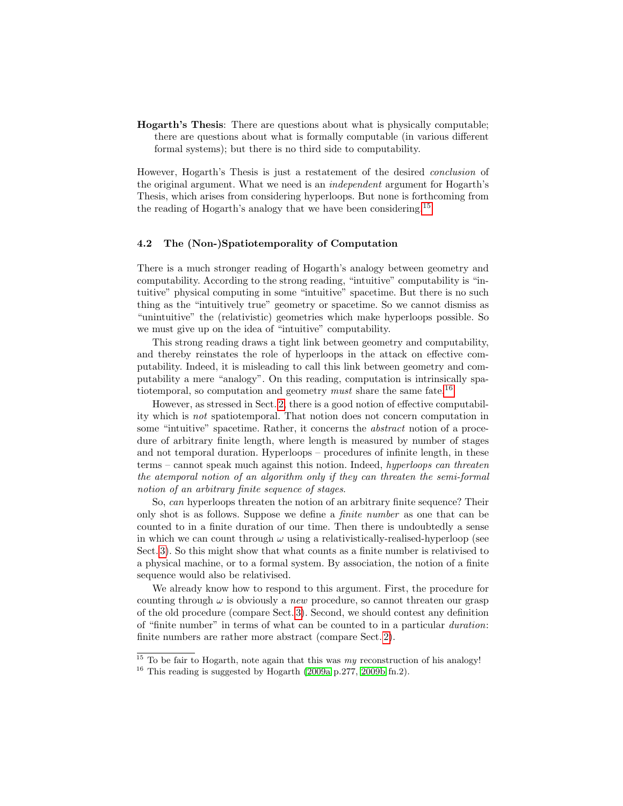Hogarth's Thesis: There are questions about what is physically computable; there are questions about what is formally computable (in various different formal systems); but there is no third side to computability.

However, Hogarth's Thesis is just a restatement of the desired conclusion of the original argument. What we need is an independent argument for Hogarth's Thesis, which arises from considering hyperloops. But none is forthcoming from the reading of Hogarth's analogy that we have been considering.[15](#page-8-0)

#### 4.2 The (Non-)Spatiotemporality of Computation

There is a much stronger reading of Hogarth's analogy between geometry and computability. According to the strong reading, "intuitive" computability is "intuitive" physical computing in some "intuitive" spacetime. But there is no such thing as the "intuitively true" geometry or spacetime. So we cannot dismiss as "unintuitive" the (relativistic) geometries which make hyperloops possible. So we must give up on the idea of "intuitive" computability.

This strong reading draws a tight link between geometry and computability, and thereby reinstates the role of hyperloops in the attack on effective computability. Indeed, it is misleading to call this link between geometry and computability a mere "analogy". On this reading, computation is intrinsically spatiotemporal, so computation and geometry *must* share the same fate.<sup>[16](#page-8-1)</sup>

However, as stressed in Sect. [2,](#page-2-0) there is a good notion of effective computability which is not spatiotemporal. That notion does not concern computation in some "intuitive" spacetime. Rather, it concerns the abstract notion of a procedure of arbitrary finite length, where length is measured by number of stages and not temporal duration. Hyperloops – procedures of infinite length, in these terms – cannot speak much against this notion. Indeed, hyperloops can threaten the atemporal notion of an algorithm only if they can threaten the semi-formal notion of an arbitrary finite sequence of stages.

So, can hyperloops threaten the notion of an arbitrary finite sequence? Their only shot is as follows. Suppose we define a finite number as one that can be counted to in a finite duration of our time. Then there is undoubtedly a sense in which we can count through  $\omega$  using a relativistically-realised-hyperloop (see Sect. [3\)](#page-4-0). So this might show that what counts as a finite number is relativised to a physical machine, or to a formal system. By association, the notion of a finite sequence would also be relativised.

We already know how to respond to this argument. First, the procedure for counting through  $\omega$  is obviously a *new* procedure, so cannot threaten our grasp of the old procedure (compare Sect. [3\)](#page-4-0). Second, we should contest any definition of "finite number" in terms of what can be counted to in a particular duration: finite numbers are rather more abstract (compare Sect. [2\)](#page-2-0).

<span id="page-8-0"></span><sup>&</sup>lt;sup>15</sup> To be fair to Hogarth, note again that this was  $my$  reconstruction of his analogy!

<span id="page-8-1"></span> $16$  This reading is suggested by Hogarth [\(2009a](#page-10-1) p.277, [2009b](#page-10-0) fn.2).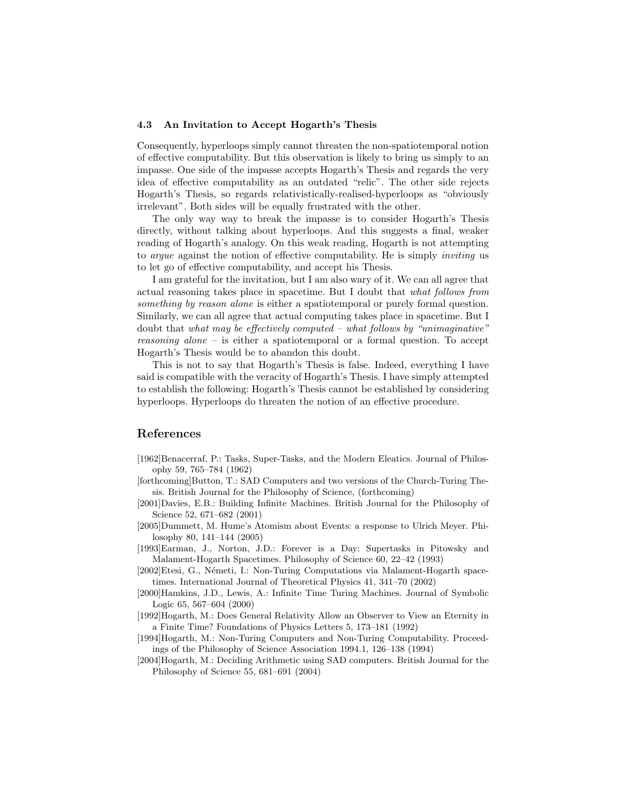#### <span id="page-9-8"></span>4.3 An Invitation to Accept Hogarth's Thesis

Consequently, hyperloops simply cannot threaten the non-spatiotemporal notion of effective computability. But this observation is likely to bring us simply to an impasse. One side of the impasse accepts Hogarth's Thesis and regards the very idea of effective computability as an outdated "relic". The other side rejects Hogarth's Thesis, so regards relativistically-realised-hyperloops as "obviously irrelevant". Both sides will be equally frustrated with the other.

The only way way to break the impasse is to consider Hogarth's Thesis directly, without talking about hyperloops. And this suggests a final, weaker reading of Hogarth's analogy. On this weak reading, Hogarth is not attempting to argue against the notion of effective computability. He is simply inviting us to let go of effective computability, and accept his Thesis.

I am grateful for the invitation, but I am also wary of it. We can all agree that actual reasoning takes place in spacetime. But I doubt that what follows from something by reason alone is either a spatiotemporal or purely formal question. Similarly, we can all agree that actual computing takes place in spacetime. But I doubt that what may be effectively computed – what follows by "unimaginative" reasoning alone – is either a spatiotemporal or a formal question. To accept Hogarth's Thesis would be to abandon this doubt.

This is not to say that Hogarth's Thesis is false. Indeed, everything I have said is compatible with the veracity of Hogarth's Thesis. I have simply attempted to establish the following: Hogarth's Thesis cannot be established by considering hyperloops. Hyperloops do threaten the notion of an effective procedure.

## References

- <span id="page-9-9"></span>[1962]Benacerraf, P.: Tasks, Super-Tasks, and the Modern Eleatics. Journal of Philosophy 59, 765–784 (1962)
- <span id="page-9-0"></span>[forthcoming]Button, T.: SAD Computers and two versions of the Church-Turing Thesis. British Journal for the Philosophy of Science, (forthcoming)
- <span id="page-9-6"></span>[2001]Davies, E.B.: Building Infinite Machines. British Journal for the Philosophy of Science 52, 671–682 (2001)
- <span id="page-9-10"></span>[2005]Dummett, M. Hume's Atomism about Events: a response to Ulrich Meyer. Philosophy 80, 141–144 (2005)
- <span id="page-9-4"></span>[1993]Earman, J., Norton, J.D.: Forever is a Day: Supertasks in Pitowsky and Malament-Hogarth Spacetimes. Philosophy of Science 60, 22–42 (1993)
- <span id="page-9-5"></span>[2002]Etesi, G., Németi, I.: Non-Turing Computations via Malament-Hogarth spacetimes. International Journal of Theoretical Physics 41, 341–70 (2002)
- <span id="page-9-7"></span>[2000]Hamkins, J.D., Lewis, A.: Infinite Time Turing Machines. Journal of Symbolic Logic 65, 567–604 (2000)
- <span id="page-9-2"></span>[1992]Hogarth, M.: Does General Relativity Allow an Observer to View an Eternity in a Finite Time? Foundations of Physics Letters 5, 173–181 (1992)
- <span id="page-9-3"></span>[1994]Hogarth, M.: Non-Turing Computers and Non-Turing Computability. Proceedings of the Philosophy of Science Association 1994.1, 126–138 (1994)
- <span id="page-9-1"></span>[2004]Hogarth, M.: Deciding Arithmetic using SAD computers. British Journal for the Philosophy of Science 55, 681–691 (2004)